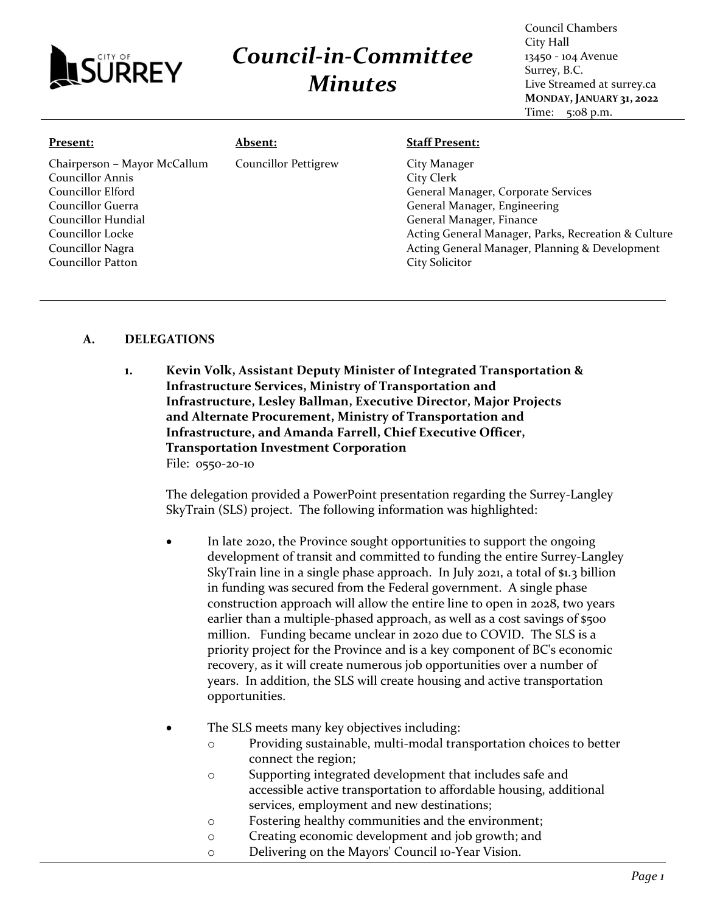

## *Council-in-Committee Minutes*

Council Chambers City Hall 13450 - 104 Avenue Surrey, B.C. Live Streamed at surrey.ca **MONDAY, JANUARY 31, 2022** Time: 5:08 p.m.

| Present:                                                                                                                                                                      | <b>Absent:</b>              | <b>Staff Present:</b>                                                                                                                                                                                                                                    |
|-------------------------------------------------------------------------------------------------------------------------------------------------------------------------------|-----------------------------|----------------------------------------------------------------------------------------------------------------------------------------------------------------------------------------------------------------------------------------------------------|
| Chairperson - Mayor McCallum<br>Councillor Annis<br>Councillor Elford<br>Councillor Guerra<br>Councillor Hundial<br>Councillor Locke<br>Councillor Nagra<br>Councillor Patton | <b>Councillor Pettigrew</b> | City Manager<br>City Clerk<br>General Manager, Corporate Services<br>General Manager, Engineering<br>General Manager, Finance<br>Acting General Manager, Parks, Recreation & Culture<br>Acting General Manager, Planning & Development<br>City Solicitor |
|                                                                                                                                                                               |                             |                                                                                                                                                                                                                                                          |

## **A. DELEGATIONS**

**1. Kevin Volk, Assistant Deputy Minister of Integrated Transportation & Infrastructure Services, Ministry of Transportation and Infrastructure, Lesley Ballman, Executive Director, Major Projects and Alternate Procurement, Ministry of Transportation and Infrastructure, and Amanda Farrell, Chief Executive Officer, Transportation Investment Corporation**  File: 0550-20-10

The delegation provided a PowerPoint presentation regarding the Surrey-Langley SkyTrain (SLS) project. The following information was highlighted:

- In late 2020, the Province sought opportunities to support the ongoing development of transit and committed to funding the entire Surrey-Langley SkyTrain line in a single phase approach. In July 2021, a total of \$1.3 billion in funding was secured from the Federal government. A single phase construction approach will allow the entire line to open in 2028, two years earlier than a multiple-phased approach, as well as a cost savings of \$500 million. Funding became unclear in 2020 due to COVID. The SLS is a priority project for the Province and is a key component of BC's economic recovery, as it will create numerous job opportunities over a number of years. In addition, the SLS will create housing and active transportation opportunities.
- The SLS meets many key objectives including:
	- o Providing sustainable, multi-modal transportation choices to better connect the region;
	- o Supporting integrated development that includes safe and accessible active transportation to affordable housing, additional services, employment and new destinations;
	- o Fostering healthy communities and the environment;
	- o Creating economic development and job growth; and
	- o Delivering on the Mayors' Council 10-Year Vision.